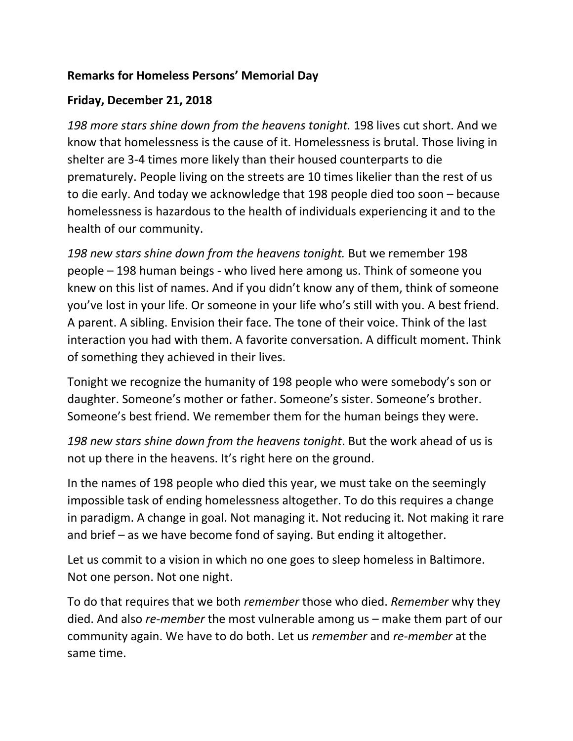## **Remarks for Homeless Persons' Memorial Day**

## **Friday, December 21, 2018**

*198 more stars shine down from the heavens tonight.* 198 lives cut short. And we know that homelessness is the cause of it. Homelessness is brutal. Those living in shelter are 3-4 times more likely than their housed counterparts to die prematurely. People living on the streets are 10 times likelier than the rest of us to die early. And today we acknowledge that 198 people died too soon – because homelessness is hazardous to the health of individuals experiencing it and to the health of our community.

*198 new stars shine down from the heavens tonight.* But we remember 198 people – 198 human beings - who lived here among us. Think of someone you knew on this list of names. And if you didn't know any of them, think of someone you've lost in your life. Or someone in your life who's still with you. A best friend. A parent. A sibling. Envision their face. The tone of their voice. Think of the last interaction you had with them. A favorite conversation. A difficult moment. Think of something they achieved in their lives.

Tonight we recognize the humanity of 198 people who were somebody's son or daughter. Someone's mother or father. Someone's sister. Someone's brother. Someone's best friend. We remember them for the human beings they were.

*198 new stars shine down from the heavens tonight*. But the work ahead of us is not up there in the heavens. It's right here on the ground.

In the names of 198 people who died this year, we must take on the seemingly impossible task of ending homelessness altogether. To do this requires a change in paradigm. A change in goal. Not managing it. Not reducing it. Not making it rare and brief – as we have become fond of saying. But ending it altogether.

Let us commit to a vision in which no one goes to sleep homeless in Baltimore. Not one person. Not one night.

To do that requires that we both *remember* those who died. *Remember* why they died. And also *re-member* the most vulnerable among us – make them part of our community again. We have to do both. Let us *remember* and *re-member* at the same time.